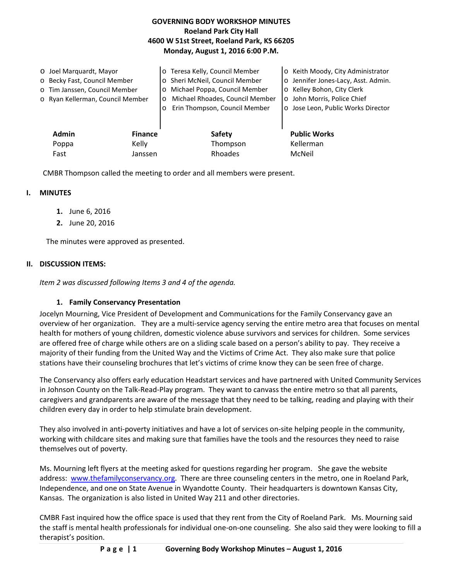## **GOVERNING BODY WORKSHOP MINUTES Roeland Park City Hall 4600 W 51st Street, Roeland Park, KS 66205 Monday, August 1, 2016 6:00 P.M.**

| O Joel Marquardt, Mayor<br>o Becky Fast, Council Member<br>o Tim Janssen, Council Member<br>o Ryan Kellerman, Council Member |                | o Teresa Kelly, Council Member<br>o Sheri McNeil, Council Member<br>Michael Poppa, Council Member<br>$\circ$<br>Michael Rhoades, Council Member<br>O<br>Erin Thompson, Council Member<br>$\circ$ | o Keith Moody, City Administrator<br>o Jennifer Jones-Lacy, Asst. Admin.<br>o Kelley Bohon, City Clerk<br>o John Morris, Police Chief<br>o Jose Leon, Public Works Director |
|------------------------------------------------------------------------------------------------------------------------------|----------------|--------------------------------------------------------------------------------------------------------------------------------------------------------------------------------------------------|-----------------------------------------------------------------------------------------------------------------------------------------------------------------------------|
| <b>Admin</b>                                                                                                                 | <b>Finance</b> | <b>Safety</b>                                                                                                                                                                                    | <b>Public Works</b>                                                                                                                                                         |
| Poppa                                                                                                                        | Kelly          | Thompson                                                                                                                                                                                         | Kellerman                                                                                                                                                                   |
| Fast                                                                                                                         | Janssen        | Rhoades                                                                                                                                                                                          | McNeil                                                                                                                                                                      |

CMBR Thompson called the meeting to order and all members were present.

### **I. MINUTES**

- **1.** June 6, 2016
- **2.** June 20, 2016

The minutes were approved as presented.

#### **II. DISCUSSION ITEMS:**

*Item 2 was discussed following Items 3 and 4 of the agenda.* 

### **1. Family Conservancy Presentation**

Jocelyn Mourning, Vice President of Development and Communications for the Family Conservancy gave an overview of her organization. They are a multi-service agency serving the entire metro area that focuses on mental health for mothers of young children, domestic violence abuse survivors and services for children. Some services are offered free of charge while others are on a sliding scale based on a person's ability to pay. They receive a majority of their funding from the United Way and the Victims of Crime Act. They also make sure that police stations have their counseling brochures that let's victims of crime know they can be seen free of charge.

The Conservancy also offers early education Headstart services and have partnered with United Community Services in Johnson County on the Talk-Read-Play program. They want to canvass the entire metro so that all parents, caregivers and grandparents are aware of the message that they need to be talking, reading and playing with their children every day in order to help stimulate brain development.

They also involved in anti-poverty initiatives and have a lot of services on-site helping people in the community, working with childcare sites and making sure that families have the tools and the resources they need to raise themselves out of poverty.

Ms. Mourning left flyers at the meeting asked for questions regarding her program. She gave the website address: [www.thefamilyconservancy.org.](http://www.thefamilyconservancy.org/) There are three counseling centers in the metro, one in Roeland Park, Independence, and one on State Avenue in Wyandotte County. Their headquarters is downtown Kansas City, Kansas. The organization is also listed in United Way 211 and other directories.

CMBR Fast inquired how the office space is used that they rent from the City of Roeland Park. Ms. Mourning said the staff is mental health professionals for individual one-on-one counseling. She also said they were looking to fill a therapist's position.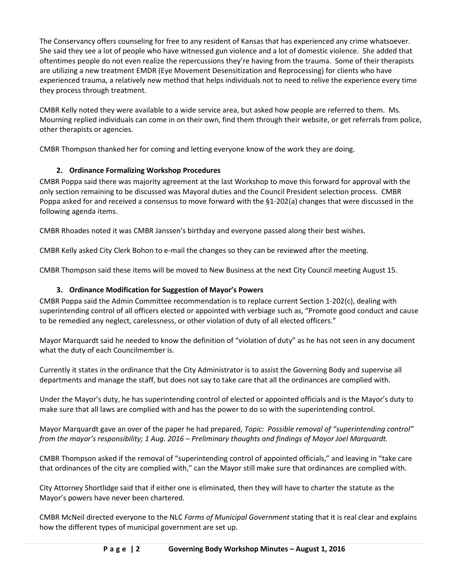The Conservancy offers counseling for free to any resident of Kansas that has experienced any crime whatsoever. She said they see a lot of people who have witnessed gun violence and a lot of domestic violence. She added that oftentimes people do not even realize the repercussions they're having from the trauma. Some of their therapists are utilizing a new treatment EMDR (Eye Movement Desensitization and Reprocessing) for clients who have experienced trauma, a relatively new method that helps individuals not to need to relive the experience every time they process through treatment.

CMBR Kelly noted they were available to a wide service area, but asked how people are referred to them. Ms. Mourning replied individuals can come in on their own, find them through their website, or get referrals from police, other therapists or agencies.

CMBR Thompson thanked her for coming and letting everyone know of the work they are doing.

# **2. Ordinance Formalizing Workshop Procedures**

CMBR Poppa said there was majority agreement at the last Workshop to move this forward for approval with the only section remaining to be discussed was Mayoral duties and the Council President selection process. CMBR Poppa asked for and received a consensus to move forward with the §1-202(a) changes that were discussed in the following agenda items.

CMBR Rhoades noted it was CMBR Janssen's birthday and everyone passed along their best wishes.

CMBR Kelly asked City Clerk Bohon to e-mail the changes so they can be reviewed after the meeting.

CMBR Thompson said these items will be moved to New Business at the next City Council meeting August 15.

# **3. Ordinance Modification for Suggestion of Mayor's Powers**

CMBR Poppa said the Admin Committee recommendation is to replace current Section 1-202(c), dealing with superintending control of all officers elected or appointed with verbiage such as, "Promote good conduct and cause to be remedied any neglect, carelessness, or other violation of duty of all elected officers."

Mayor Marquardt said he needed to know the definition of "violation of duty" as he has not seen in any document what the duty of each Councilmember is.

Currently it states in the ordinance that the City Administrator is to assist the Governing Body and supervise all departments and manage the staff, but does not say to take care that all the ordinances are complied with.

Under the Mayor's duty, he has superintending control of elected or appointed officials and is the Mayor's duty to make sure that all laws are complied with and has the power to do so with the superintending control.

Mayor Marquardt gave an over of the paper he had prepared, *Topic: Possible removal of "superintending control" from the mayor's responsibility; 1 Aug. 2016 – Preliminary thoughts and findings of Mayor Joel Marquardt.*

CMBR Thompson asked if the removal of "superintending control of appointed officials," and leaving in "take care that ordinances of the city are complied with," can the Mayor still make sure that ordinances are complied with.

City Attorney Shortlidge said that if either one is eliminated, then they will have to charter the statute as the Mayor's powers have never been chartered.

CMBR McNeil directed everyone to the NLC *Forms of Municipal Government* stating that it is real clear and explains how the different types of municipal government are set up.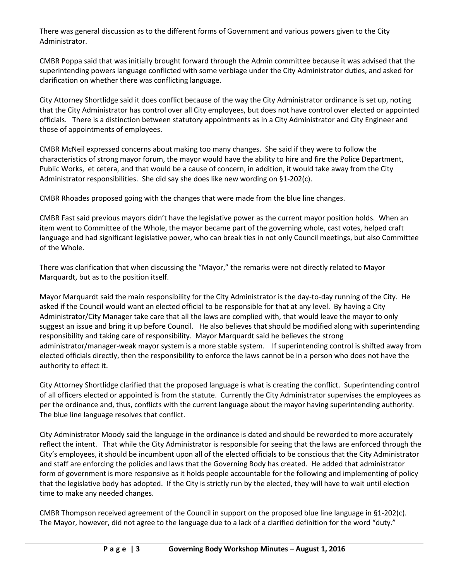There was general discussion as to the different forms of Government and various powers given to the City Administrator.

CMBR Poppa said that was initially brought forward through the Admin committee because it was advised that the superintending powers language conflicted with some verbiage under the City Administrator duties, and asked for clarification on whether there was conflicting language.

City Attorney Shortlidge said it does conflict because of the way the City Administrator ordinance is set up, noting that the City Administrator has control over all City employees, but does not have control over elected or appointed officials. There is a distinction between statutory appointments as in a City Administrator and City Engineer and those of appointments of employees.

CMBR McNeil expressed concerns about making too many changes. She said if they were to follow the characteristics of strong mayor forum, the mayor would have the ability to hire and fire the Police Department, Public Works, et cetera, and that would be a cause of concern, in addition, it would take away from the City Administrator responsibilities. She did say she does like new wording on §1-202(c).

CMBR Rhoades proposed going with the changes that were made from the blue line changes.

CMBR Fast said previous mayors didn't have the legislative power as the current mayor position holds. When an item went to Committee of the Whole, the mayor became part of the governing whole, cast votes, helped craft language and had significant legislative power, who can break ties in not only Council meetings, but also Committee of the Whole.

There was clarification that when discussing the "Mayor," the remarks were not directly related to Mayor Marquardt, but as to the position itself.

Mayor Marquardt said the main responsibility for the City Administrator is the day-to-day running of the City. He asked if the Council would want an elected official to be responsible for that at any level. By having a City Administrator/City Manager take care that all the laws are complied with, that would leave the mayor to only suggest an issue and bring it up before Council. He also believes that should be modified along with superintending responsibility and taking care of responsibility. Mayor Marquardt said he believes the strong administrator/manager-weak mayor system is a more stable system. If superintending control is shifted away from elected officials directly, then the responsibility to enforce the laws cannot be in a person who does not have the authority to effect it.

City Attorney Shortlidge clarified that the proposed language is what is creating the conflict. Superintending control of all officers elected or appointed is from the statute. Currently the City Administrator supervises the employees as per the ordinance and, thus, conflicts with the current language about the mayor having superintending authority. The blue line language resolves that conflict.

City Administrator Moody said the language in the ordinance is dated and should be reworded to more accurately reflect the intent. That while the City Administrator is responsible for seeing that the laws are enforced through the City's employees, it should be incumbent upon all of the elected officials to be conscious that the City Administrator and staff are enforcing the policies and laws that the Governing Body has created. He added that administrator form of government is more responsive as it holds people accountable for the following and implementing of policy that the legislative body has adopted. If the City is strictly run by the elected, they will have to wait until election time to make any needed changes.

CMBR Thompson received agreement of the Council in support on the proposed blue line language in §1-202(c). The Mayor, however, did not agree to the language due to a lack of a clarified definition for the word "duty."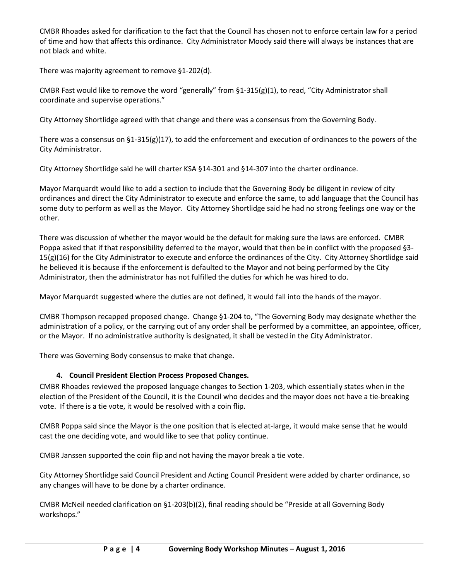CMBR Rhoades asked for clarification to the fact that the Council has chosen not to enforce certain law for a period of time and how that affects this ordinance. City Administrator Moody said there will always be instances that are not black and white.

There was majority agreement to remove §1-202(d).

CMBR Fast would like to remove the word "generally" from  $\S1-315(g)(1)$ , to read, "City Administrator shall coordinate and supervise operations."

City Attorney Shortlidge agreed with that change and there was a consensus from the Governing Body.

There was a consensus on §1-315(g)(17), to add the enforcement and execution of ordinances to the powers of the City Administrator.

City Attorney Shortlidge said he will charter KSA §14-301 and §14-307 into the charter ordinance.

Mayor Marquardt would like to add a section to include that the Governing Body be diligent in review of city ordinances and direct the City Administrator to execute and enforce the same, to add language that the Council has some duty to perform as well as the Mayor. City Attorney Shortlidge said he had no strong feelings one way or the other.

There was discussion of whether the mayor would be the default for making sure the laws are enforced. CMBR Poppa asked that if that responsibility deferred to the mayor, would that then be in conflict with the proposed §3- 15(g)(16) for the City Administrator to execute and enforce the ordinances of the City. City Attorney Shortlidge said he believed it is because if the enforcement is defaulted to the Mayor and not being performed by the City Administrator, then the administrator has not fulfilled the duties for which he was hired to do.

Mayor Marquardt suggested where the duties are not defined, it would fall into the hands of the mayor.

CMBR Thompson recapped proposed change. Change §1-204 to, "The Governing Body may designate whether the administration of a policy, or the carrying out of any order shall be performed by a committee, an appointee, officer, or the Mayor. If no administrative authority is designated, it shall be vested in the City Administrator.

There was Governing Body consensus to make that change.

# **4. Council President Election Process Proposed Changes.**

CMBR Rhoades reviewed the proposed language changes to Section 1-203, which essentially states when in the election of the President of the Council, it is the Council who decides and the mayor does not have a tie-breaking vote. If there is a tie vote, it would be resolved with a coin flip.

CMBR Poppa said since the Mayor is the one position that is elected at-large, it would make sense that he would cast the one deciding vote, and would like to see that policy continue.

CMBR Janssen supported the coin flip and not having the mayor break a tie vote.

City Attorney Shortlidge said Council President and Acting Council President were added by charter ordinance, so any changes will have to be done by a charter ordinance.

CMBR McNeil needed clarification on §1-203(b)(2), final reading should be "Preside at all Governing Body workshops."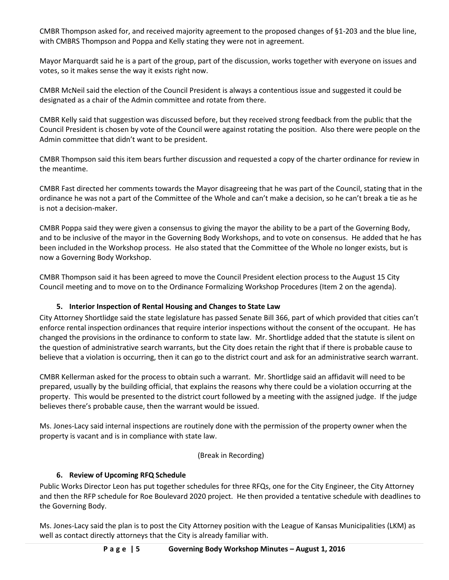CMBR Thompson asked for, and received majority agreement to the proposed changes of §1-203 and the blue line, with CMBRS Thompson and Poppa and Kelly stating they were not in agreement.

Mayor Marquardt said he is a part of the group, part of the discussion, works together with everyone on issues and votes, so it makes sense the way it exists right now.

CMBR McNeil said the election of the Council President is always a contentious issue and suggested it could be designated as a chair of the Admin committee and rotate from there.

CMBR Kelly said that suggestion was discussed before, but they received strong feedback from the public that the Council President is chosen by vote of the Council were against rotating the position. Also there were people on the Admin committee that didn't want to be president.

CMBR Thompson said this item bears further discussion and requested a copy of the charter ordinance for review in the meantime.

CMBR Fast directed her comments towards the Mayor disagreeing that he was part of the Council, stating that in the ordinance he was not a part of the Committee of the Whole and can't make a decision, so he can't break a tie as he is not a decision-maker.

CMBR Poppa said they were given a consensus to giving the mayor the ability to be a part of the Governing Body, and to be inclusive of the mayor in the Governing Body Workshops, and to vote on consensus. He added that he has been included in the Workshop process. He also stated that the Committee of the Whole no longer exists, but is now a Governing Body Workshop.

CMBR Thompson said it has been agreed to move the Council President election process to the August 15 City Council meeting and to move on to the Ordinance Formalizing Workshop Procedures (Item 2 on the agenda).

### **5. Interior Inspection of Rental Housing and Changes to State Law**

City Attorney Shortlidge said the state legislature has passed Senate Bill 366, part of which provided that cities can't enforce rental inspection ordinances that require interior inspections without the consent of the occupant. He has changed the provisions in the ordinance to conform to state law. Mr. Shortlidge added that the statute is silent on the question of administrative search warrants, but the City does retain the right that if there is probable cause to believe that a violation is occurring, then it can go to the district court and ask for an administrative search warrant.

CMBR Kellerman asked for the process to obtain such a warrant. Mr. Shortlidge said an affidavit will need to be prepared, usually by the building official, that explains the reasons why there could be a violation occurring at the property. This would be presented to the district court followed by a meeting with the assigned judge. If the judge believes there's probable cause, then the warrant would be issued.

Ms. Jones-Lacy said internal inspections are routinely done with the permission of the property owner when the property is vacant and is in compliance with state law.

(Break in Recording)

### **6. Review of Upcoming RFQ Schedule**

Public Works Director Leon has put together schedules for three RFQs, one for the City Engineer, the City Attorney and then the RFP schedule for Roe Boulevard 2020 project. He then provided a tentative schedule with deadlines to the Governing Body.

Ms. Jones-Lacy said the plan is to post the City Attorney position with the League of Kansas Municipalities (LKM) as well as contact directly attorneys that the City is already familiar with.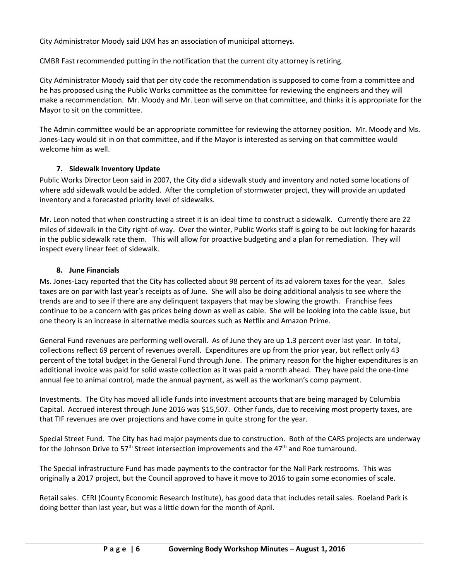City Administrator Moody said LKM has an association of municipal attorneys.

CMBR Fast recommended putting in the notification that the current city attorney is retiring.

City Administrator Moody said that per city code the recommendation is supposed to come from a committee and he has proposed using the Public Works committee as the committee for reviewing the engineers and they will make a recommendation. Mr. Moody and Mr. Leon will serve on that committee, and thinks it is appropriate for the Mayor to sit on the committee.

The Admin committee would be an appropriate committee for reviewing the attorney position. Mr. Moody and Ms. Jones-Lacy would sit in on that committee, and if the Mayor is interested as serving on that committee would welcome him as well.

## **7. Sidewalk Inventory Update**

Public Works Director Leon said in 2007, the City did a sidewalk study and inventory and noted some locations of where add sidewalk would be added. After the completion of stormwater project, they will provide an updated inventory and a forecasted priority level of sidewalks.

Mr. Leon noted that when constructing a street it is an ideal time to construct a sidewalk. Currently there are 22 miles of sidewalk in the City right-of-way. Over the winter, Public Works staff is going to be out looking for hazards in the public sidewalk rate them. This will allow for proactive budgeting and a plan for remediation. They will inspect every linear feet of sidewalk.

## **8. June Financials**

Ms. Jones-Lacy reported that the City has collected about 98 percent of its ad valorem taxes for the year. Sales taxes are on par with last year's receipts as of June. She will also be doing additional analysis to see where the trends are and to see if there are any delinquent taxpayers that may be slowing the growth. Franchise fees continue to be a concern with gas prices being down as well as cable. She will be looking into the cable issue, but one theory is an increase in alternative media sources such as Netflix and Amazon Prime.

General Fund revenues are performing well overall. As of June they are up 1.3 percent over last year. In total, collections reflect 69 percent of revenues overall. Expenditures are up from the prior year, but reflect only 43 percent of the total budget in the General Fund through June. The primary reason for the higher expenditures is an additional invoice was paid for solid waste collection as it was paid a month ahead. They have paid the one-time annual fee to animal control, made the annual payment, as well as the workman's comp payment.

Investments. The City has moved all idle funds into investment accounts that are being managed by Columbia Capital. Accrued interest through June 2016 was \$15,507. Other funds, due to receiving most property taxes, are that TIF revenues are over projections and have come in quite strong for the year.

Special Street Fund. The City has had major payments due to construction. Both of the CARS projects are underway for the Johnson Drive to 57<sup>th</sup> Street intersection improvements and the 47<sup>th</sup> and Roe turnaround.

The Special infrastructure Fund has made payments to the contractor for the Nall Park restrooms. This was originally a 2017 project, but the Council approved to have it move to 2016 to gain some economies of scale.

Retail sales. CERI (County Economic Research Institute), has good data that includes retail sales. Roeland Park is doing better than last year, but was a little down for the month of April.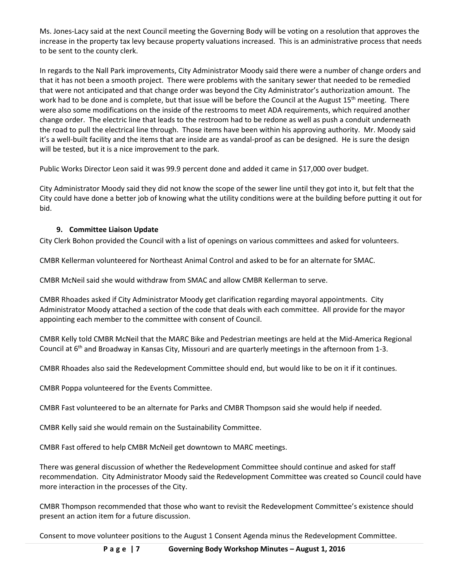Ms. Jones-Lacy said at the next Council meeting the Governing Body will be voting on a resolution that approves the increase in the property tax levy because property valuations increased. This is an administrative process that needs to be sent to the county clerk.

In regards to the Nall Park improvements, City Administrator Moody said there were a number of change orders and that it has not been a smooth project. There were problems with the sanitary sewer that needed to be remedied that were not anticipated and that change order was beyond the City Administrator's authorization amount. The work had to be done and is complete, but that issue will be before the Council at the August 15<sup>th</sup> meeting. There were also some modifications on the inside of the restrooms to meet ADA requirements, which required another change order. The electric line that leads to the restroom had to be redone as well as push a conduit underneath the road to pull the electrical line through. Those items have been within his approving authority. Mr. Moody said it's a well-built facility and the items that are inside are as vandal-proof as can be designed. He is sure the design will be tested, but it is a nice improvement to the park.

Public Works Director Leon said it was 99.9 percent done and added it came in \$17,000 over budget.

City Administrator Moody said they did not know the scope of the sewer line until they got into it, but felt that the City could have done a better job of knowing what the utility conditions were at the building before putting it out for bid.

## **9. Committee Liaison Update**

City Clerk Bohon provided the Council with a list of openings on various committees and asked for volunteers.

CMBR Kellerman volunteered for Northeast Animal Control and asked to be for an alternate for SMAC.

CMBR McNeil said she would withdraw from SMAC and allow CMBR Kellerman to serve.

CMBR Rhoades asked if City Administrator Moody get clarification regarding mayoral appointments. City Administrator Moody attached a section of the code that deals with each committee. All provide for the mayor appointing each member to the committee with consent of Council.

CMBR Kelly told CMBR McNeil that the MARC Bike and Pedestrian meetings are held at the Mid-America Regional Council at 6<sup>th</sup> and Broadway in Kansas City, Missouri and are quarterly meetings in the afternoon from 1-3.

CMBR Rhoades also said the Redevelopment Committee should end, but would like to be on it if it continues.

CMBR Poppa volunteered for the Events Committee.

CMBR Fast volunteered to be an alternate for Parks and CMBR Thompson said she would help if needed.

CMBR Kelly said she would remain on the Sustainability Committee.

CMBR Fast offered to help CMBR McNeil get downtown to MARC meetings.

There was general discussion of whether the Redevelopment Committee should continue and asked for staff recommendation. City Administrator Moody said the Redevelopment Committee was created so Council could have more interaction in the processes of the City.

CMBR Thompson recommended that those who want to revisit the Redevelopment Committee's existence should present an action item for a future discussion.

Consent to move volunteer positions to the August 1 Consent Agenda minus the Redevelopment Committee.